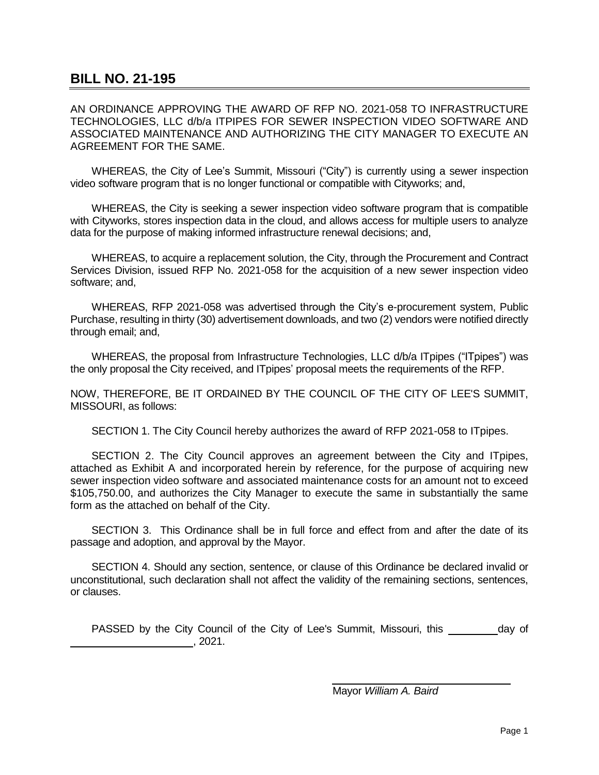## **BILL NO. 21-195**

AN ORDINANCE APPROVING THE AWARD OF RFP NO. 2021-058 TO INFRASTRUCTURE TECHNOLOGIES, LLC d/b/a ITPIPES FOR SEWER INSPECTION VIDEO SOFTWARE AND ASSOCIATED MAINTENANCE AND AUTHORIZING THE CITY MANAGER TO EXECUTE AN AGREEMENT FOR THE SAME.

WHEREAS, the City of Lee's Summit, Missouri ("City") is currently using a sewer inspection video software program that is no longer functional or compatible with Cityworks; and,

WHEREAS, the City is seeking a sewer inspection video software program that is compatible with Cityworks, stores inspection data in the cloud, and allows access for multiple users to analyze data for the purpose of making informed infrastructure renewal decisions; and,

WHEREAS, to acquire a replacement solution, the City, through the Procurement and Contract Services Division, issued RFP No. 2021-058 for the acquisition of a new sewer inspection video software; and,

WHEREAS, RFP 2021-058 was advertised through the City's e-procurement system, Public Purchase, resulting in thirty (30) advertisement downloads, and two (2) vendors were notified directly through email; and,

WHEREAS, the proposal from Infrastructure Technologies, LLC d/b/a ITpipes ("ITpipes") was the only proposal the City received, and ITpipes' proposal meets the requirements of the RFP.

NOW, THEREFORE, BE IT ORDAINED BY THE COUNCIL OF THE CITY OF LEE'S SUMMIT, MISSOURI, as follows:

SECTION 1. The City Council hereby authorizes the award of RFP 2021-058 to ITpipes.

SECTION 2. The City Council approves an agreement between the City and ITpipes, attached as Exhibit A and incorporated herein by reference, for the purpose of acquiring new sewer inspection video software and associated maintenance costs for an amount not to exceed \$105,750.00, and authorizes the City Manager to execute the same in substantially the same form as the attached on behalf of the City.

SECTION 3. This Ordinance shall be in full force and effect from and after the date of its passage and adoption, and approval by the Mayor.

SECTION 4. Should any section, sentence, or clause of this Ordinance be declared invalid or unconstitutional, such declaration shall not affect the validity of the remaining sections, sentences, or clauses.

PASSED by the City Council of the City of Lee's Summit, Missouri, this \_\_\_\_\_\_\_\_ day of , 2021.

Mayor *William A. Baird*